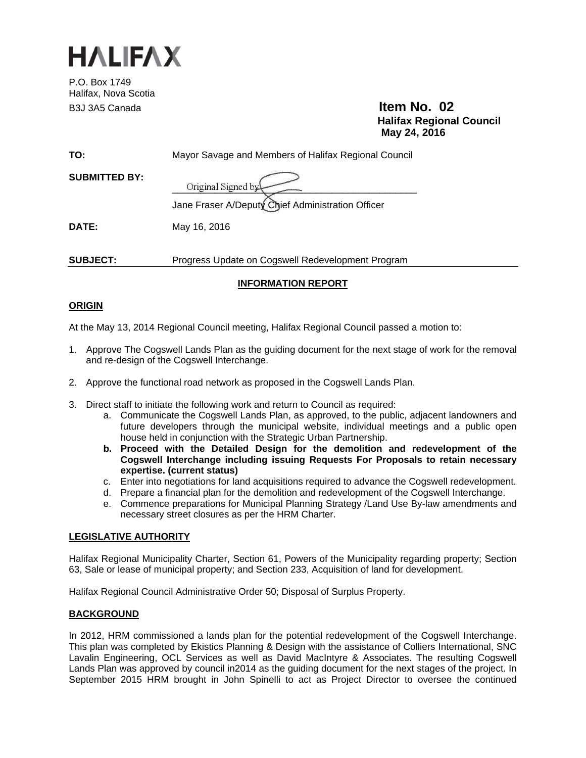

P.O. Box 1749 Halifax, Nova Scotia B3J 3A5 Canada **Item No. 02** 

 **Halifax Regional Council May 24, 2016** 

| TO:                  | Mayor Savage and Members of Halifax Regional Council                    |
|----------------------|-------------------------------------------------------------------------|
| <b>SUBMITTED BY:</b> | Original Signed by<br>Jane Fraser A/Deputy Chief Administration Officer |
| DATE:                | May 16, 2016                                                            |
| <b>SUBJECT:</b>      | Progress Update on Cogswell Redevelopment Program                       |

## **INFORMATION REPORT**

## **ORIGIN**

At the May 13, 2014 Regional Council meeting, Halifax Regional Council passed a motion to:

- 1. Approve The Cogswell Lands Plan as the guiding document for the next stage of work for the removal and re-design of the Cogswell Interchange.
- 2. Approve the functional road network as proposed in the Cogswell Lands Plan.
- 3. Direct staff to initiate the following work and return to Council as required:
	- a. Communicate the Cogswell Lands Plan, as approved, to the public, adjacent landowners and future developers through the municipal website, individual meetings and a public open house held in conjunction with the Strategic Urban Partnership.
	- **b. Proceed with the Detailed Design for the demolition and redevelopment of the Cogswell Interchange including issuing Requests For Proposals to retain necessary expertise. (current status)**
	- c. Enter into negotiations for land acquisitions required to advance the Cogswell redevelopment.
	- d. Prepare a financial plan for the demolition and redevelopment of the Cogswell Interchange.
	- e. Commence preparations for Municipal Planning Strategy /Land Use By-law amendments and necessary street closures as per the HRM Charter.

## **LEGISLATIVE AUTHORITY**

Halifax Regional Municipality Charter, Section 61, Powers of the Municipality regarding property; Section 63, Sale or lease of municipal property; and Section 233, Acquisition of land for development.

Halifax Regional Council Administrative Order 50; Disposal of Surplus Property.

## **BACKGROUND**

In 2012, HRM commissioned a lands plan for the potential redevelopment of the Cogswell Interchange. This plan was completed by Ekistics Planning & Design with the assistance of Colliers International, SNC Lavalin Engineering, OCL Services as well as David MacIntyre & Associates. The resulting Cogswell Lands Plan was approved by council in2014 as the guiding document for the next stages of the project. In September 2015 HRM brought in John Spinelli to act as Project Director to oversee the continued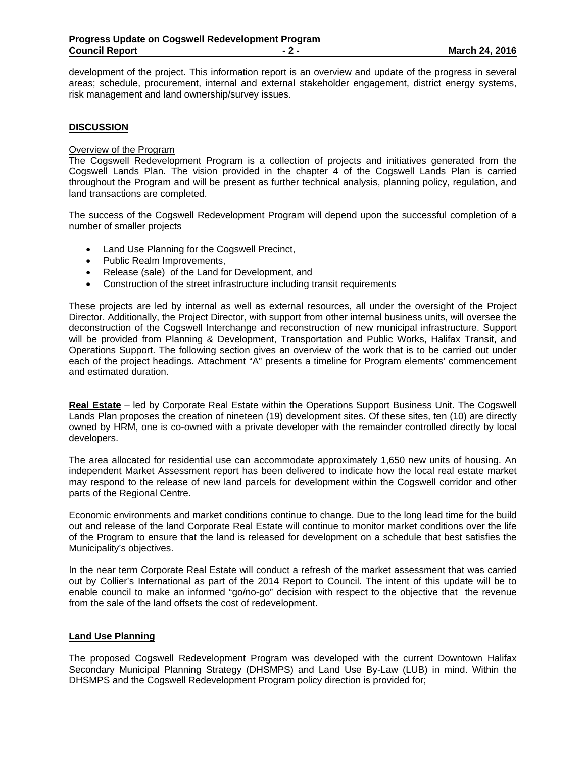development of the project. This information report is an overview and update of the progress in several areas; schedule, procurement, internal and external stakeholder engagement, district energy systems, risk management and land ownership/survey issues.

#### **DISCUSSION**

## Overview of the Program

The Cogswell Redevelopment Program is a collection of projects and initiatives generated from the Cogswell Lands Plan. The vision provided in the chapter 4 of the Cogswell Lands Plan is carried throughout the Program and will be present as further technical analysis, planning policy, regulation, and land transactions are completed.

The success of the Cogswell Redevelopment Program will depend upon the successful completion of a number of smaller projects

- Land Use Planning for the Cogswell Precinct,
- Public Realm Improvements,
- Release (sale) of the Land for Development, and
- Construction of the street infrastructure including transit requirements

These projects are led by internal as well as external resources, all under the oversight of the Project Director. Additionally, the Project Director, with support from other internal business units, will oversee the deconstruction of the Cogswell Interchange and reconstruction of new municipal infrastructure. Support will be provided from Planning & Development, Transportation and Public Works, Halifax Transit, and Operations Support. The following section gives an overview of the work that is to be carried out under each of the project headings. Attachment "A" presents a timeline for Program elements' commencement and estimated duration.

**Real Estate** – led by Corporate Real Estate within the Operations Support Business Unit. The Cogswell Lands Plan proposes the creation of nineteen (19) development sites. Of these sites, ten (10) are directly owned by HRM, one is co-owned with a private developer with the remainder controlled directly by local developers.

The area allocated for residential use can accommodate approximately 1,650 new units of housing. An independent Market Assessment report has been delivered to indicate how the local real estate market may respond to the release of new land parcels for development within the Cogswell corridor and other parts of the Regional Centre.

Economic environments and market conditions continue to change. Due to the long lead time for the build out and release of the land Corporate Real Estate will continue to monitor market conditions over the life of the Program to ensure that the land is released for development on a schedule that best satisfies the Municipality's objectives.

In the near term Corporate Real Estate will conduct a refresh of the market assessment that was carried out by Collier's International as part of the 2014 Report to Council. The intent of this update will be to enable council to make an informed "go/no-go" decision with respect to the objective that the revenue from the sale of the land offsets the cost of redevelopment.

#### **Land Use Planning**

The proposed Cogswell Redevelopment Program was developed with the current Downtown Halifax Secondary Municipal Planning Strategy (DHSMPS) and Land Use By-Law (LUB) in mind. Within the DHSMPS and the Cogswell Redevelopment Program policy direction is provided for;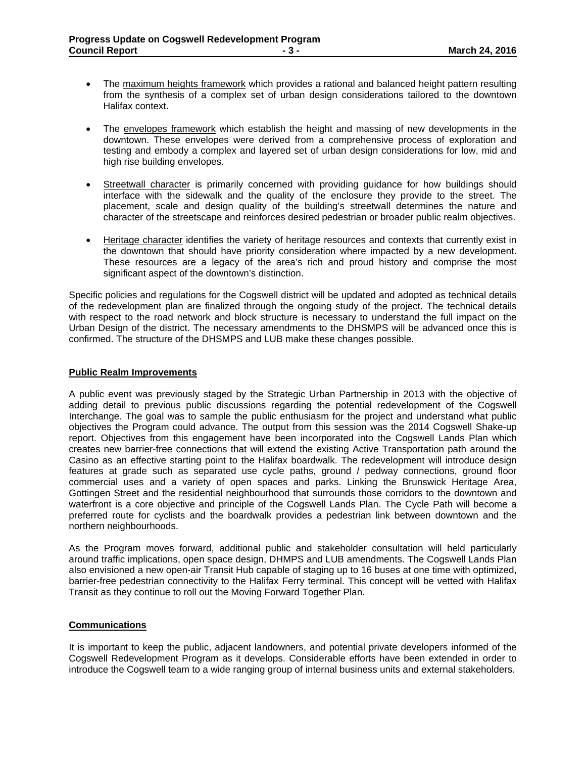- The maximum heights framework which provides a rational and balanced height pattern resulting from the synthesis of a complex set of urban design considerations tailored to the downtown Halifax context.
- The envelopes framework which establish the height and massing of new developments in the downtown. These envelopes were derived from a comprehensive process of exploration and testing and embody a complex and layered set of urban design considerations for low, mid and high rise building envelopes.
- Streetwall character is primarily concerned with providing guidance for how buildings should interface with the sidewalk and the quality of the enclosure they provide to the street. The placement, scale and design quality of the building's streetwall determines the nature and character of the streetscape and reinforces desired pedestrian or broader public realm objectives.
- Heritage character identifies the variety of heritage resources and contexts that currently exist in the downtown that should have priority consideration where impacted by a new development. These resources are a legacy of the area's rich and proud history and comprise the most significant aspect of the downtown's distinction.

Specific policies and regulations for the Cogswell district will be updated and adopted as technical details of the redevelopment plan are finalized through the ongoing study of the project. The technical details with respect to the road network and block structure is necessary to understand the full impact on the Urban Design of the district. The necessary amendments to the DHSMPS will be advanced once this is confirmed. The structure of the DHSMPS and LUB make these changes possible.

#### **Public Realm Improvements**

A public event was previously staged by the Strategic Urban Partnership in 2013 with the objective of adding detail to previous public discussions regarding the potential redevelopment of the Cogswell Interchange. The goal was to sample the public enthusiasm for the project and understand what public objectives the Program could advance. The output from this session was the 2014 Cogswell Shake-up report. Objectives from this engagement have been incorporated into the Cogswell Lands Plan which creates new barrier-free connections that will extend the existing Active Transportation path around the Casino as an effective starting point to the Halifax boardwalk. The redevelopment will introduce design features at grade such as separated use cycle paths, ground / pedway connections, ground floor commercial uses and a variety of open spaces and parks. Linking the Brunswick Heritage Area, Gottingen Street and the residential neighbourhood that surrounds those corridors to the downtown and waterfront is a core objective and principle of the Cogswell Lands Plan. The Cycle Path will become a preferred route for cyclists and the boardwalk provides a pedestrian link between downtown and the northern neighbourhoods.

As the Program moves forward, additional public and stakeholder consultation will held particularly around traffic implications, open space design, DHMPS and LUB amendments. The Cogswell Lands Plan also envisioned a new open-air Transit Hub capable of staging up to 16 buses at one time with optimized, barrier-free pedestrian connectivity to the Halifax Ferry terminal. This concept will be vetted with Halifax Transit as they continue to roll out the Moving Forward Together Plan.

#### **Communications**

It is important to keep the public, adjacent landowners, and potential private developers informed of the Cogswell Redevelopment Program as it develops. Considerable efforts have been extended in order to introduce the Cogswell team to a wide ranging group of internal business units and external stakeholders.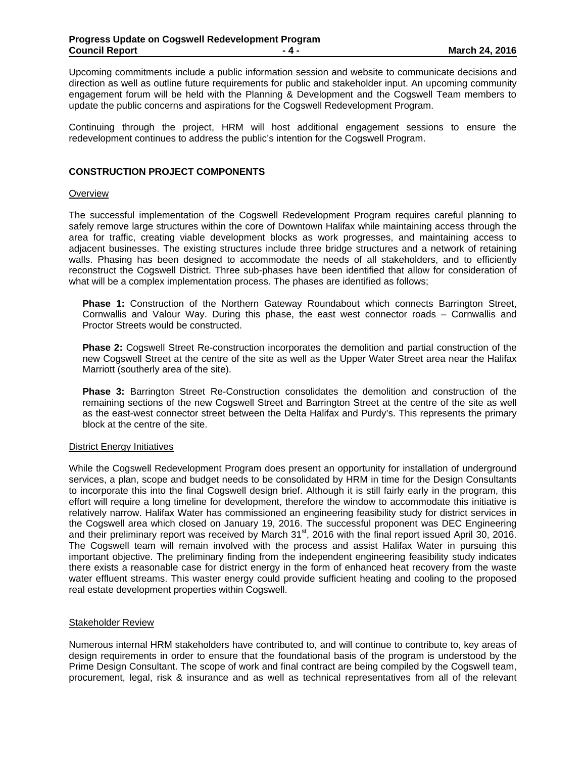Upcoming commitments include a public information session and website to communicate decisions and direction as well as outline future requirements for public and stakeholder input. An upcoming community engagement forum will be held with the Planning & Development and the Cogswell Team members to update the public concerns and aspirations for the Cogswell Redevelopment Program.

Continuing through the project, HRM will host additional engagement sessions to ensure the redevelopment continues to address the public's intention for the Cogswell Program.

#### **CONSTRUCTION PROJECT COMPONENTS**

#### **Overview**

The successful implementation of the Cogswell Redevelopment Program requires careful planning to safely remove large structures within the core of Downtown Halifax while maintaining access through the area for traffic, creating viable development blocks as work progresses, and maintaining access to adjacent businesses. The existing structures include three bridge structures and a network of retaining walls. Phasing has been designed to accommodate the needs of all stakeholders, and to efficiently reconstruct the Cogswell District. Three sub-phases have been identified that allow for consideration of what will be a complex implementation process. The phases are identified as follows;

**Phase 1:** Construction of the Northern Gateway Roundabout which connects Barrington Street, Cornwallis and Valour Way. During this phase, the east west connector roads – Cornwallis and Proctor Streets would be constructed.

**Phase 2:** Cogswell Street Re-construction incorporates the demolition and partial construction of the new Cogswell Street at the centre of the site as well as the Upper Water Street area near the Halifax Marriott (southerly area of the site).

**Phase 3:** Barrington Street Re-Construction consolidates the demolition and construction of the remaining sections of the new Cogswell Street and Barrington Street at the centre of the site as well as the east-west connector street between the Delta Halifax and Purdy's. This represents the primary block at the centre of the site.

#### District Energy Initiatives

While the Cogswell Redevelopment Program does present an opportunity for installation of underground services, a plan, scope and budget needs to be consolidated by HRM in time for the Design Consultants to incorporate this into the final Cogswell design brief. Although it is still fairly early in the program, this effort will require a long timeline for development, therefore the window to accommodate this initiative is relatively narrow. Halifax Water has commissioned an engineering feasibility study for district services in the Cogswell area which closed on January 19, 2016. The successful proponent was DEC Engineering and their preliminary report was received by March 31<sup>st</sup>, 2016 with the final report issued April 30, 2016. The Cogswell team will remain involved with the process and assist Halifax Water in pursuing this important objective. The preliminary finding from the independent engineering feasibility study indicates there exists a reasonable case for district energy in the form of enhanced heat recovery from the waste water effluent streams. This waster energy could provide sufficient heating and cooling to the proposed real estate development properties within Cogswell.

#### Stakeholder Review

Numerous internal HRM stakeholders have contributed to, and will continue to contribute to, key areas of design requirements in order to ensure that the foundational basis of the program is understood by the Prime Design Consultant. The scope of work and final contract are being compiled by the Cogswell team, procurement, legal, risk & insurance and as well as technical representatives from all of the relevant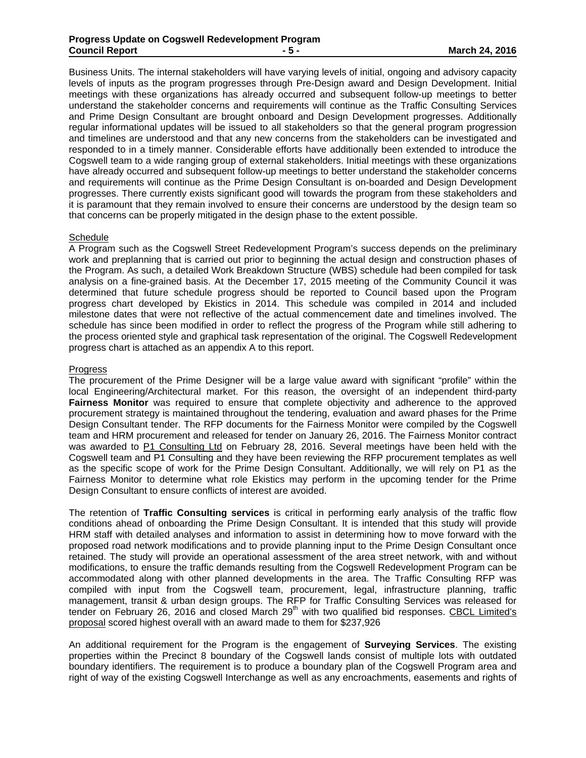Business Units. The internal stakeholders will have varying levels of initial, ongoing and advisory capacity levels of inputs as the program progresses through Pre-Design award and Design Development. Initial meetings with these organizations has already occurred and subsequent follow-up meetings to better understand the stakeholder concerns and requirements will continue as the Traffic Consulting Services and Prime Design Consultant are brought onboard and Design Development progresses. Additionally regular informational updates will be issued to all stakeholders so that the general program progression and timelines are understood and that any new concerns from the stakeholders can be investigated and responded to in a timely manner. Considerable efforts have additionally been extended to introduce the Cogswell team to a wide ranging group of external stakeholders. Initial meetings with these organizations have already occurred and subsequent follow-up meetings to better understand the stakeholder concerns and requirements will continue as the Prime Design Consultant is on-boarded and Design Development progresses. There currently exists significant good will towards the program from these stakeholders and it is paramount that they remain involved to ensure their concerns are understood by the design team so that concerns can be properly mitigated in the design phase to the extent possible.

#### Schedule

A Program such as the Cogswell Street Redevelopment Program's success depends on the preliminary work and preplanning that is carried out prior to beginning the actual design and construction phases of the Program. As such, a detailed Work Breakdown Structure (WBS) schedule had been compiled for task analysis on a fine-grained basis. At the December 17, 2015 meeting of the Community Council it was determined that future schedule progress should be reported to Council based upon the Program progress chart developed by Ekistics in 2014. This schedule was compiled in 2014 and included milestone dates that were not reflective of the actual commencement date and timelines involved. The schedule has since been modified in order to reflect the progress of the Program while still adhering to the process oriented style and graphical task representation of the original. The Cogswell Redevelopment progress chart is attached as an appendix A to this report.

#### Progress

The procurement of the Prime Designer will be a large value award with significant "profile" within the local Engineering/Architectural market. For this reason, the oversight of an independent third-party **Fairness Monitor** was required to ensure that complete objectivity and adherence to the approved procurement strategy is maintained throughout the tendering, evaluation and award phases for the Prime Design Consultant tender. The RFP documents for the Fairness Monitor were compiled by the Cogswell team and HRM procurement and released for tender on January 26, 2016. The Fairness Monitor contract was awarded to P1 Consulting Ltd on February 28, 2016. Several meetings have been held with the Cogswell team and P1 Consulting and they have been reviewing the RFP procurement templates as well as the specific scope of work for the Prime Design Consultant. Additionally, we will rely on P1 as the Fairness Monitor to determine what role Ekistics may perform in the upcoming tender for the Prime Design Consultant to ensure conflicts of interest are avoided.

The retention of **Traffic Consulting services** is critical in performing early analysis of the traffic flow conditions ahead of onboarding the Prime Design Consultant. It is intended that this study will provide HRM staff with detailed analyses and information to assist in determining how to move forward with the proposed road network modifications and to provide planning input to the Prime Design Consultant once retained. The study will provide an operational assessment of the area street network, with and without modifications, to ensure the traffic demands resulting from the Cogswell Redevelopment Program can be accommodated along with other planned developments in the area. The Traffic Consulting RFP was compiled with input from the Cogswell team, procurement, legal, infrastructure planning, traffic management, transit & urban design groups. The RFP for Traffic Consulting Services was released for tender on February 26, 2016 and closed March 29<sup>th</sup> with two qualified bid responses. CBCL Limited's proposal scored highest overall with an award made to them for \$237,926

An additional requirement for the Program is the engagement of **Surveying Services**. The existing properties within the Precinct 8 boundary of the Cogswell lands consist of multiple lots with outdated boundary identifiers. The requirement is to produce a boundary plan of the Cogswell Program area and right of way of the existing Cogswell Interchange as well as any encroachments, easements and rights of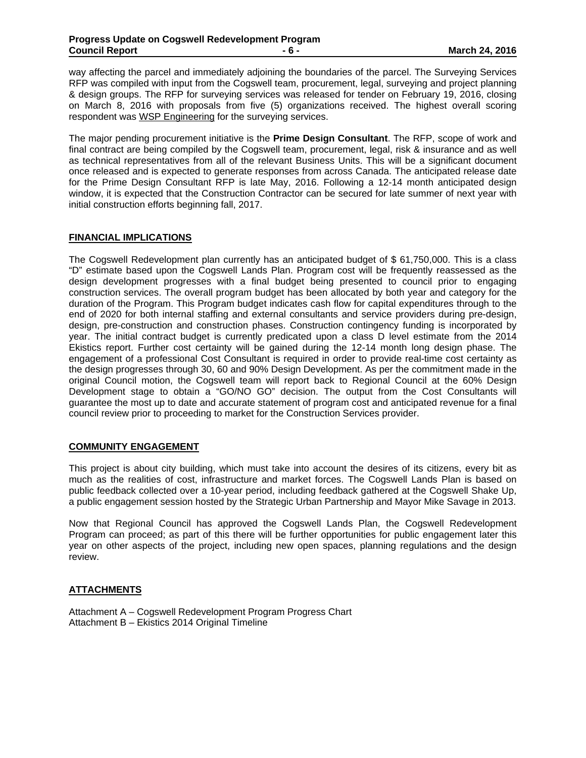way affecting the parcel and immediately adjoining the boundaries of the parcel. The Surveying Services RFP was compiled with input from the Cogswell team, procurement, legal, surveying and project planning & design groups. The RFP for surveying services was released for tender on February 19, 2016, closing on March 8, 2016 with proposals from five (5) organizations received. The highest overall scoring respondent was WSP Engineering for the surveying services.

The major pending procurement initiative is the **Prime Design Consultant**. The RFP, scope of work and final contract are being compiled by the Cogswell team, procurement, legal, risk & insurance and as well as technical representatives from all of the relevant Business Units. This will be a significant document once released and is expected to generate responses from across Canada. The anticipated release date for the Prime Design Consultant RFP is late May, 2016. Following a 12-14 month anticipated design window, it is expected that the Construction Contractor can be secured for late summer of next year with initial construction efforts beginning fall, 2017.

### **FINANCIAL IMPLICATIONS**

The Cogswell Redevelopment plan currently has an anticipated budget of \$ 61,750,000. This is a class "D" estimate based upon the Cogswell Lands Plan. Program cost will be frequently reassessed as the design development progresses with a final budget being presented to council prior to engaging construction services. The overall program budget has been allocated by both year and category for the duration of the Program. This Program budget indicates cash flow for capital expenditures through to the end of 2020 for both internal staffing and external consultants and service providers during pre-design, design, pre-construction and construction phases. Construction contingency funding is incorporated by year. The initial contract budget is currently predicated upon a class D level estimate from the 2014 Ekistics report. Further cost certainty will be gained during the 12-14 month long design phase. The engagement of a professional Cost Consultant is required in order to provide real-time cost certainty as the design progresses through 30, 60 and 90% Design Development. As per the commitment made in the original Council motion, the Cogswell team will report back to Regional Council at the 60% Design Development stage to obtain a "GO/NO GO" decision. The output from the Cost Consultants will guarantee the most up to date and accurate statement of program cost and anticipated revenue for a final council review prior to proceeding to market for the Construction Services provider.

## **COMMUNITY ENGAGEMENT**

This project is about city building, which must take into account the desires of its citizens, every bit as much as the realities of cost, infrastructure and market forces. The Cogswell Lands Plan is based on public feedback collected over a 10-year period, including feedback gathered at the Cogswell Shake Up, a public engagement session hosted by the Strategic Urban Partnership and Mayor Mike Savage in 2013.

Now that Regional Council has approved the Cogswell Lands Plan, the Cogswell Redevelopment Program can proceed; as part of this there will be further opportunities for public engagement later this year on other aspects of the project, including new open spaces, planning regulations and the design review.

## **ATTACHMENTS**

Attachment A – Cogswell Redevelopment Program Progress Chart Attachment B – Ekistics 2014 Original Timeline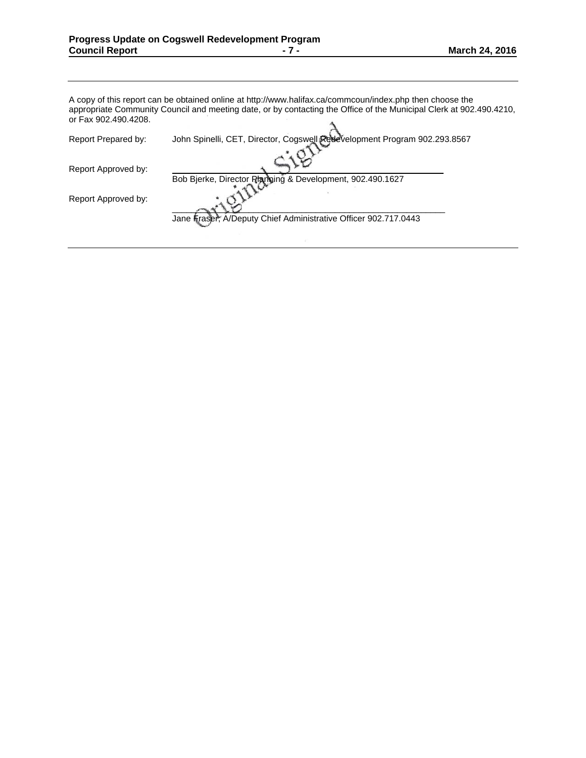A copy of this report can be obtained online at http://www.halifax.ca/commcoun/index.php then choose the appropriate Community Council and meeting date, or by contacting the Office of the Municipal Clerk at 902.490.4210, or Fax 902.490.4208.  $\Delta$ 

| Report Prepared by: | John Spinelli, CET, Director, Cogswell Redevelopment Program 902.293.8567 |
|---------------------|---------------------------------------------------------------------------|
| Report Approved by: |                                                                           |
| Report Approved by: | Bob Bierke, Director Planning & Development, 902.490.1627                 |
|                     | Jane Fraser, A/Deputy Chief Administrative Officer 902.717.0443           |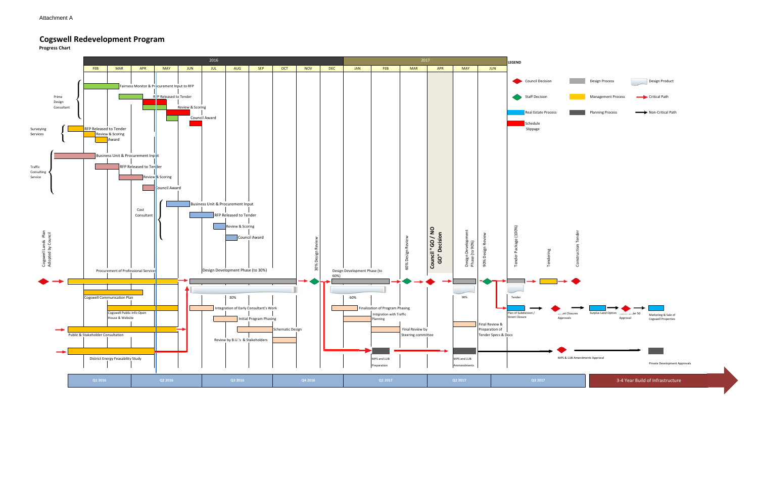# **Cogswell Redevelopment Program**

**Progress Chart**